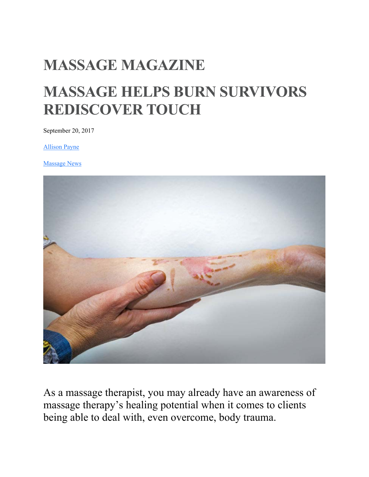# **MASSAGE MAGAZINE**

# **MASSAGE HELPS BURN SURVIVORS REDISCOVER TOUCH**

September 20, 2017

Allison Payne

Massage News



As a massage therapist, you may already have an awareness of massage therapy's healing potential when it comes to clients being able to deal with, even overcome, body trauma.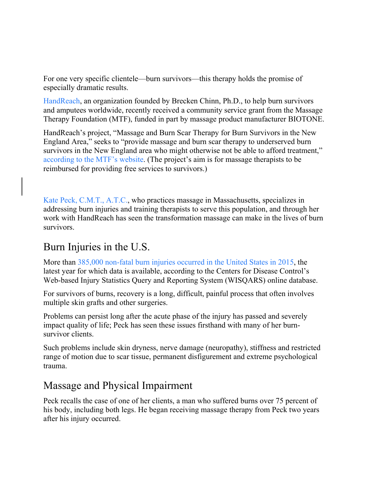For one very specific clientele—burn survivors—this therapy holds the promise of especially dramatic results.

HandReach, an organization founded by Brecken Chinn, Ph.D., to help burn survivors and amputees worldwide, recently received a community service grant from the Massage Therapy Foundation (MTF), funded in part by massage product manufacturer BIOTONE.

HandReach's project, "Massage and Burn Scar Therapy for Burn Survivors in the New England Area," seeks to "provide massage and burn scar therapy to underserved burn survivors in the New England area who might otherwise not be able to afford treatment," according to the MTF's website. (The project's aim is for massage therapists to be reimbursed for providing free services to survivors.)

Kate Peck, C.M.T., A.T.C., who practices massage in Massachusetts, specializes in addressing burn injuries and training therapists to serve this population, and through her work with HandReach has seen the transformation massage can make in the lives of burn survivors.

### Burn Injuries in the U.S.

More than 385,000 non-fatal burn injuries occurred in the United States in 2015, the latest year for which data is available, according to the Centers for Disease Control's Web-based Injury Statistics Query and Reporting System (WISQARS) online database.

For survivors of burns, recovery is a long, difficult, painful process that often involves multiple skin grafts and other surgeries.

Problems can persist long after the acute phase of the injury has passed and severely impact quality of life; Peck has seen these issues firsthand with many of her burnsurvivor clients.

Such problems include skin dryness, nerve damage (neuropathy), stiffness and restricted range of motion due to scar tissue, permanent disfigurement and extreme psychological trauma.

#### Massage and Physical Impairment

Peck recalls the case of one of her clients, a man who suffered burns over 75 percent of his body, including both legs. He began receiving massage therapy from Peck two years after his injury occurred.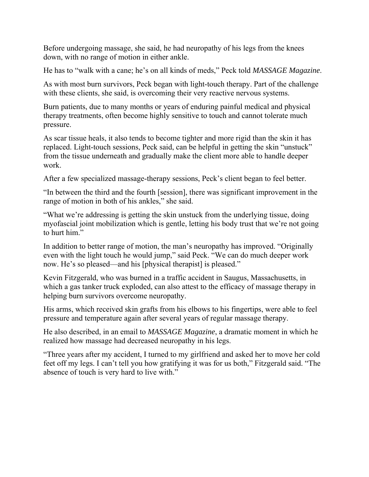Before undergoing massage, she said, he had neuropathy of his legs from the knees down, with no range of motion in either ankle.

He has to "walk with a cane; he's on all kinds of meds," Peck told *MASSAGE Magazine*.

As with most burn survivors, Peck began with light-touch therapy. Part of the challenge with these clients, she said, is overcoming their very reactive nervous systems.

Burn patients, due to many months or years of enduring painful medical and physical therapy treatments, often become highly sensitive to touch and cannot tolerate much pressure.

As scar tissue heals, it also tends to become tighter and more rigid than the skin it has replaced. Light-touch sessions, Peck said, can be helpful in getting the skin "unstuck" from the tissue underneath and gradually make the client more able to handle deeper work.

After a few specialized massage-therapy sessions, Peck's client began to feel better.

"In between the third and the fourth [session], there was significant improvement in the range of motion in both of his ankles," she said.

"What we're addressing is getting the skin unstuck from the underlying tissue, doing myofascial joint mobilization which is gentle, letting his body trust that we're not going to hurt him."

In addition to better range of motion, the man's neuropathy has improved. "Originally even with the light touch he would jump," said Peck. "We can do much deeper work now. He's so pleased—and his [physical therapist] is pleased."

Kevin Fitzgerald, who was burned in a traffic accident in Saugus, Massachusetts, in which a gas tanker truck exploded, can also attest to the efficacy of massage therapy in helping burn survivors overcome neuropathy.

His arms, which received skin grafts from his elbows to his fingertips, were able to feel pressure and temperature again after several years of regular massage therapy.

He also described, in an email to *MASSAGE Magazine*, a dramatic moment in which he realized how massage had decreased neuropathy in his legs.

"Three years after my accident, I turned to my girlfriend and asked her to move her cold feet off my legs. I can't tell you how gratifying it was for us both," Fitzgerald said. "The absence of touch is very hard to live with."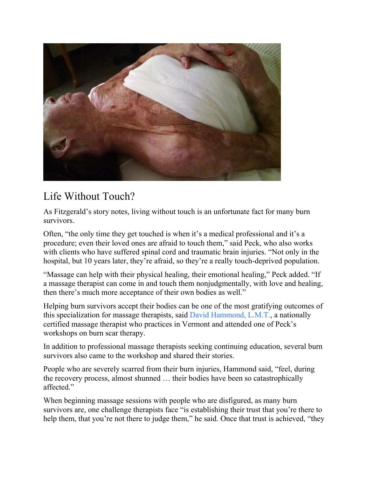

# Life Without Touch?

As Fitzgerald's story notes, living without touch is an unfortunate fact for many burn survivors.

Often, "the only time they get touched is when it's a medical professional and it's a procedure; even their loved ones are afraid to touch them," said Peck, who also works with clients who have suffered spinal cord and traumatic brain injuries. "Not only in the hospital, but 10 years later, they're afraid, so they're a really touch-deprived population.

"Massage can help with their physical healing, their emotional healing," Peck added. "If a massage therapist can come in and touch them nonjudgmentally, with love and healing, then there's much more acceptance of their own bodies as well."

Helping burn survivors accept their bodies can be one of the most gratifying outcomes of this specialization for massage therapists, said David Hammond, L.M.T., a nationally certified massage therapist who practices in Vermont and attended one of Peck's workshops on burn scar therapy.

In addition to professional massage therapists seeking continuing education, several burn survivors also came to the workshop and shared their stories.

People who are severely scarred from their burn injuries, Hammond said, "feel, during the recovery process, almost shunned … their bodies have been so catastrophically affected."

When beginning massage sessions with people who are disfigured, as many burn survivors are, one challenge therapists face "is establishing their trust that you're there to help them, that you're not there to judge them," he said. Once that trust is achieved, "they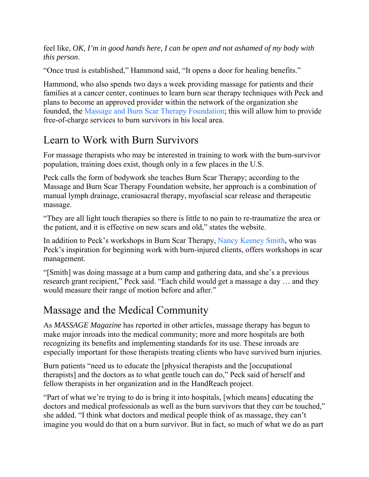feel like, *OK, I'm in good hands here, I can be open and not ashamed of my body with this person*.

"Once trust is established," Hammond said, "It opens a door for healing benefits."

Hammond, who also spends two days a week providing massage for patients and their families at a cancer center, continues to learn burn scar therapy techniques with Peck and plans to become an approved provider within the network of the organization she founded, the Massage and Burn Scar Therapy Foundation; this will allow him to provide free-of-charge services to burn survivors in his local area.

### Learn to Work with Burn Survivors

For massage therapists who may be interested in training to work with the burn-survivor population, training does exist, though only in a few places in the U.S.

Peck calls the form of bodywork she teaches Burn Scar Therapy; according to the Massage and Burn Scar Therapy Foundation website, her approach is a combination of manual lymph drainage, craniosacral therapy, myofascial scar release and therapeutic massage.

"They are all light touch therapies so there is little to no pain to re-traumatize the area or the patient, and it is effective on new scars and old," states the website.

In addition to Peck's workshops in Burn Scar Therapy, Nancy Keeney Smith, who was Peck's inspiration for beginning work with burn-injured clients, offers workshops in scar management.

"[Smith] was doing massage at a burn camp and gathering data, and she's a previous research grant recipient," Peck said. "Each child would get a massage a day … and they would measure their range of motion before and after."

# Massage and the Medical Community

As *MASSAGE Magazine* has reported in other articles, massage therapy has begun to make major inroads into the medical community; more and more hospitals are both recognizing its benefits and implementing standards for its use. These inroads are especially important for those therapists treating clients who have survived burn injuries.

Burn patients "need us to educate the [physical therapists and the [occupational therapists] and the doctors as to what gentle touch can do," Peck said of herself and fellow therapists in her organization and in the HandReach project.

"Part of what we're trying to do is bring it into hospitals, [which means] educating the doctors and medical professionals as well as the burn survivors that they *can* be touched," she added. "I think what doctors and medical people think of as massage, they can't imagine you would do that on a burn survivor. But in fact, so much of what we do as part